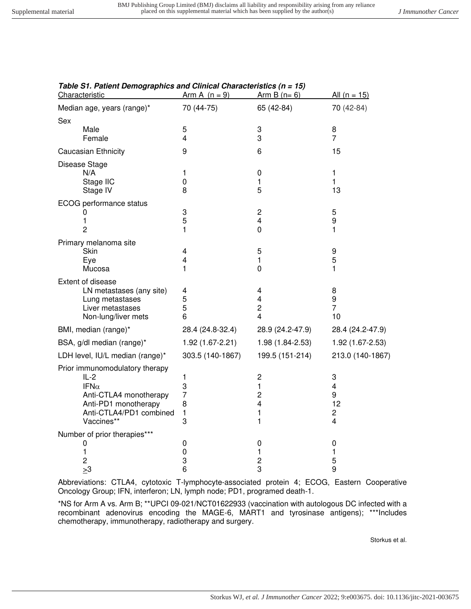| Characteristic                  | Arm A $(n = 9)$  | Arm B $(n=6)$                    | <u>All (n = 15)</u>     |
|---------------------------------|------------------|----------------------------------|-------------------------|
| Median age, years (range)*      | 70 (44-75)       | 65 (42-84)                       | 70 (42-84)              |
| Sex                             |                  |                                  |                         |
| Male                            | 5                | 3                                | 8                       |
| Female                          | $\overline{4}$   | 3                                | $\overline{7}$          |
| Caucasian Ethnicity             | 9                | 6                                | 15                      |
| Disease Stage                   |                  |                                  |                         |
| N/A                             | 1                | 0                                | 1                       |
| Stage IIC                       | 0                | 1                                | 1                       |
| Stage IV                        | 8                | 5                                | 13                      |
| ECOG performance status         |                  |                                  |                         |
| 0                               | 3                | $\overline{\mathbf{c}}$          | 5                       |
| 1                               | 5                | $\overline{\mathbf{4}}$          | 9                       |
| $\overline{2}$                  | 1                | $\mathbf 0$                      | 1                       |
| Primary melanoma site           |                  |                                  |                         |
| Skin                            | 4                | 5                                | 9                       |
| Eye                             | 4                | $\mathbf{1}$                     | 5                       |
| Mucosa                          | 1                | $\mathbf 0$                      | 1                       |
| Extent of disease               |                  |                                  |                         |
| LN metastases (any site)        | 4                | 4                                | 8                       |
| Lung metastases                 | 5                | 4                                | 9                       |
| Liver metastases                | 5                | $\overline{c}$<br>$\overline{4}$ | $\overline{7}$          |
| Non-lung/liver mets             | 6                |                                  | 10                      |
| BMI, median (range)*            | 28.4 (24.8-32.4) | 28.9 (24.2-47.9)                 | 28.4 (24.2-47.9)        |
| BSA, g/dl median (range)*       | 1.92 (1.67-2.21) | 1.98 (1.84-2.53)                 | 1.92 (1.67-2.53)        |
| LDH level, IU/L median (range)* | 303.5 (140-1867) | 199.5 (151-214)                  | 213.0 (140-1867)        |
| Prior immunomodulatory therapy  |                  |                                  |                         |
| $IL-2$                          | 1                | $\overline{c}$                   | 3                       |
| IFN $\alpha$                    | 3                | $\mathbf{1}$                     | $\overline{\mathbf{4}}$ |
| Anti-CTLA4 monotherapy          | $\overline{7}$   | $\overline{c}$                   | 9                       |
| Anti-PD1 monotherapy            | 8                | 4                                | 12                      |
| Anti-CTLA4/PD1 combined         | $\mathbf{1}$     | 1                                | $\overline{c}$          |
| Vaccines**                      | 3                | 1                                | 4                       |
| Number of prior therapies***    |                  |                                  |                         |
| 0                               | 0                | 0                                | 0                       |
| 1<br>2                          | 0<br>3           | 1<br>$\overline{\mathbf{c}}$     | 1<br>5                  |
| $\geq 3$                        | 6                | 3                                | 9                       |
|                                 |                  |                                  |                         |

## **Table S1. Patient Demographics and Clinical Characteristics (n = 15)**

Abbreviations: CTLA4, cytotoxic T-lymphocyte-associated protein 4; ECOG, Eastern Cooperative Oncology Group; IFN, interferon; LN, lymph node; PD1, programed death-1.

\*NS for Arm A vs. Arm B; \*\*UPCI 09-021/NCT01622933 (vaccination with autologous DC infected with a recombinant adenovirus encoding the MAGE-6, MART1 and tyrosinase antigens); \*\*\*Includes chemotherapy, immunotherapy, radiotherapy and surgery.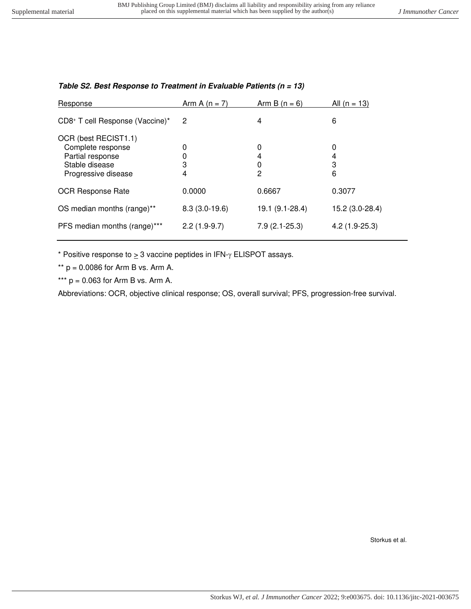| Response                                                                                               | Arm A $(n = 7)$ | Arm B $(n = 6)$  | All $(n = 13)$   |
|--------------------------------------------------------------------------------------------------------|-----------------|------------------|------------------|
| CD8+ T cell Response (Vaccine)*                                                                        | 2               | 4                | 6                |
| OCR (best RECIST1.1)<br>Complete response<br>Partial response<br>Stable disease<br>Progressive disease | 0<br>3<br>4     | 0<br>4<br>0<br>2 | 0<br>4<br>3<br>6 |
| <b>OCR Response Rate</b>                                                                               | 0.0000          | 0.6667           | 0.3077           |
| OS median months (range)**                                                                             | $8.3(3.0-19.6)$ | 19.1 (9.1-28.4)  | 15.2 (3.0-28.4)  |
| PFS median months (range)***                                                                           | $2.2(1.9-9.7)$  | $7.9(2.1-25.3)$  | $4.2(1.9-25.3)$  |

## **Table S2. Best Response to Treatment in Evaluable Patients (n = 13)**

\* Positive response to  $\geq 3$  vaccine peptides in IFN- $\gamma$  ELISPOT assays.

\*\*  $p = 0.0086$  for Arm B vs. Arm A.

\*\*\*  $p = 0.063$  for Arm B vs. Arm A.

Abbreviations: OCR, objective clinical response; OS, overall survival; PFS, progression-free survival.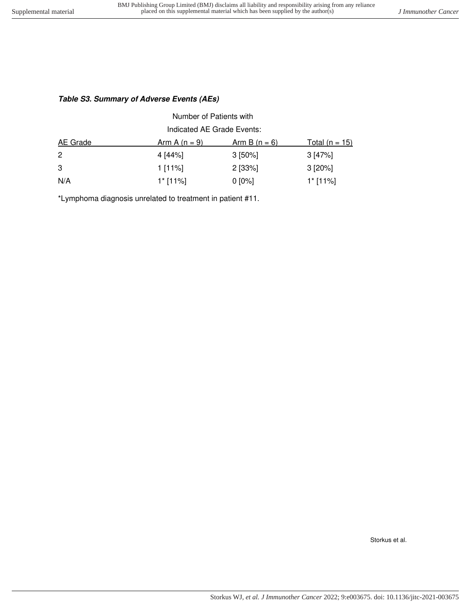## **Table S3. Summary of Adverse Events (AEs)**

| Number of Patients with    |                 |                      |                       |  |  |  |
|----------------------------|-----------------|----------------------|-----------------------|--|--|--|
| Indicated AE Grade Events: |                 |                      |                       |  |  |  |
| <b>AE</b> Grade            | $Arm A (n = 9)$ | <u>Arm B (n = 6)</u> | <u>Total (n = 15)</u> |  |  |  |
| $\mathbf{2}$               | 4 [44%]         | $3$ [50%]            | 3 [47%]               |  |  |  |
| 3                          | 1 [11%]         | $2$ [33%]            | $3 [20\%]$            |  |  |  |
| N/A                        | $1$ * [11%]     | $0 [0\%]$            | $1$ * [11%]           |  |  |  |

\*Lymphoma diagnosis unrelated to treatment in patient #11.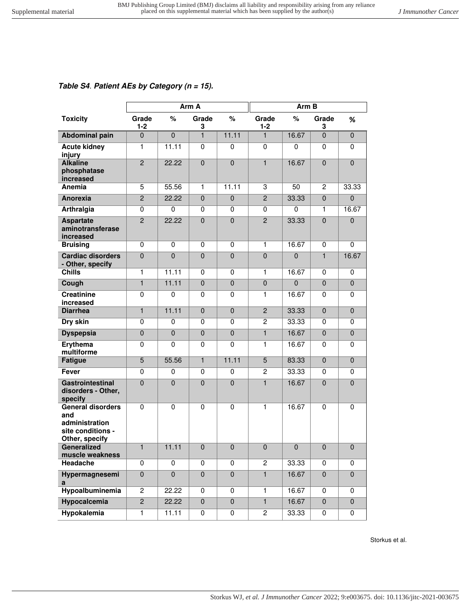## **Table S4**. **Patient AEs by Category (n = 15).**

|                                                                                          | Arm A            |                |                | Arm B          |                  |              |                |                |
|------------------------------------------------------------------------------------------|------------------|----------------|----------------|----------------|------------------|--------------|----------------|----------------|
| <b>Toxicity</b>                                                                          | Grade<br>$1 - 2$ | $\%$           | Grade<br>3     | $\%$           | Grade<br>$1 - 2$ | %            | Grade<br>3     | %              |
| <b>Abdominal pain</b>                                                                    | $\overline{0}$   | $\overline{0}$ | $\mathbf{1}$   | 11.11          | 1                | 16.67        | $\overline{0}$ | $\mathbf 0$    |
| <b>Acute kidney</b><br>injury                                                            | $\mathbf{1}$     | 11.11          | 0              | $\mathbf 0$    | $\mathbf 0$      | 0            | 0              | 0              |
| <b>Alkaline</b><br>phosphatase<br>increased                                              | $\overline{2}$   | 22.22          | $\mathbf{0}$   | $\overline{0}$ | $\blacksquare$   | 16.67        | $\mathbf 0$    | $\overline{0}$ |
| Anemia                                                                                   | 5                | 55.56          | $\mathbf{1}$   | 11.11          | 3                | 50           | $\overline{c}$ | 33.33          |
| Anorexia                                                                                 | $\overline{2}$   | 22.22          | $\mathbf{0}$   | $\mathbf 0$    | $\overline{2}$   | 33.33        | $\Omega$       | $\overline{0}$ |
| Arthralgia                                                                               | $\mathbf 0$      | $\Omega$       | 0              | 0              | 0                | $\mathbf 0$  | 1              | 16.67          |
| <b>Aspartate</b><br>aminotransferase<br>increased                                        | $\overline{2}$   | 22.22          | $\Omega$       | $\mathbf 0$    | $\overline{2}$   | 33.33        | $\Omega$       | $\mathbf 0$    |
| <b>Bruising</b>                                                                          | $\mathbf 0$      | 0              | 0              | 0              | 1                | 16.67        | 0              | 0              |
| <b>Cardiac disorders</b><br>- Other, specify                                             | $\mathbf 0$      | $\mathbf 0$    | $\mathbf 0$    | $\mathbf 0$    | $\pmb{0}$        | $\mathbf{0}$ | $\mathbf{1}$   | 16.67          |
| <b>Chills</b>                                                                            | $\mathbf{1}$     | 11.11          | 0              | $\mathbf 0$    | 1                | 16.67        | $\mathbf 0$    | $\mathbf 0$    |
| Cough                                                                                    | $\mathbf{1}$     | 11.11          | $\Omega$       | $\mathbf 0$    | $\boldsymbol{0}$ | $\mathbf 0$  | $\mathbf{0}$   | $\mathbf{0}$   |
| <b>Creatinine</b><br>increased                                                           | $\mathbf 0$      | $\mathbf 0$    | 0              | $\mathbf 0$    | 1                | 16.67        | 0              | $\mathbf 0$    |
| <b>Diarrhea</b>                                                                          | $\mathbf{1}$     | 11.11          | $\Omega$       | $\overline{0}$ | $\overline{2}$   | 33.33        | $\mathbf{0}$   | $\mathbf 0$    |
| Dry skin                                                                                 | $\mathbf 0$      | $\mathbf 0$    | 0              | $\mathbf 0$    | $\overline{2}$   | 33.33        | 0              | $\mathbf 0$    |
| <b>Dyspepsia</b>                                                                         | $\mathbf 0$      | $\mathbf 0$    | $\mathbf 0$    | $\mathbf 0$    | $\mathbf{1}$     | 16.67        | $\mathbf 0$    | $\mathbf 0$    |
| Erythema<br>multiforme                                                                   | $\mathbf 0$      | $\mathbf 0$    | $\mathbf{0}$   | $\mathbf 0$    | 1                | 16.67        | $\mathbf 0$    | $\Omega$       |
| <b>Fatigue</b>                                                                           | 5                | 55.56          | $\mathbf{1}$   | 11.11          | 5                | 83.33        | $\mathbf{0}$   | $\mathbf 0$    |
| <b>Fever</b>                                                                             | $\mathbf 0$      | $\mathbf 0$    | 0              | 0              | $\overline{c}$   | 33.33        | $\mathbf 0$    | 0              |
| <b>Gastrointestinal</b><br>disorders - Other,<br>specify                                 | $\mathbf 0$      | $\mathbf 0$    | $\mathbf{0}$   | $\mathbf 0$    | $\blacksquare$   | 16.67        | $\mathbf{0}$   | $\Omega$       |
| <b>General disorders</b><br>and<br>administration<br>site conditions -<br>Other, specify | $\mathbf 0$      | $\mathbf 0$    | $\mathbf 0$    | 0              | 1                | 16.67        | 0              | $\mathbf 0$    |
| Generalized<br>muscle weakness                                                           | $\mathbf{1}$     | 11.11          | $\pmb{0}$      | $\pmb{0}$      | $\pmb{0}$        | $\pmb{0}$    | $\pmb{0}$      | $\pmb{0}$      |
| Headache                                                                                 | 0                | $\mathbf 0$    | $\mathbf 0$    | 0              | $\sqrt{2}$       | 33.33        | 0              | 0              |
| Hypermagnesemi<br>a                                                                      | $\pmb{0}$        | $\overline{0}$ | $\pmb{0}$      | $\pmb{0}$      | $\mathbf{1}$     | 16.67        | $\mathbf 0$    | $\pmb{0}$      |
| Hypoalbuminemia                                                                          | $\overline{c}$   | 22.22          | 0              | 0              | 1                | 16.67        | 0              | 0              |
| <b>Hypocalcemia</b>                                                                      | $\overline{2}$   | 22.22          | $\overline{0}$ | $\mathbf 0$    | $\overline{1}$   | 16.67        | $\mathbf 0$    | $\overline{0}$ |
| <b>Hypokalemia</b>                                                                       | $\mathbf{1}$     | 11.11          | 0              | $\pmb{0}$      | $\overline{c}$   | 33.33        | 0              | 0              |